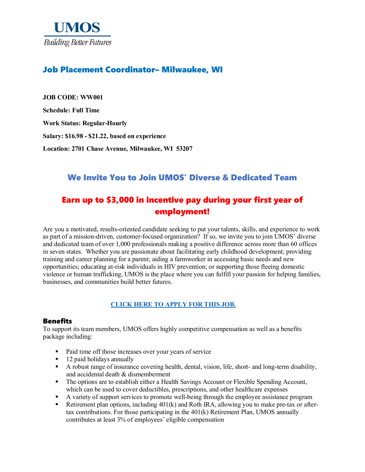

## Job Placement Coordinator– Milwaukee, WI

**JOB CODE: WW001 Schedule: Full Time Work Status: Regular-Hourly Salary: \$16.98 - \$21.22, based on experience Location: 2701 Chase Avenue, Milwaukee, WI 53207**

## We Invite You to Join UMOS' Diverse & Dedicated Team

# Earn up to \$3,000 in incentive pay during your first year of employment!

Are you a motivated, results-oriented candidate seeking to put your talents, skills, and experience to work as part of a mission-driven, customer-focused organization? If so, we invite you to join UMOS' diverse and dedicated team of over 1,000 professionals making a positive difference across more than 60 offices in seven states. Whether you are passionate about facilitating early childhood development; providing training and career planning for a parent; aiding a farmworker in accessing basic needs and new opportunities; educating at-risk individuals in HIV prevention; or supporting those fleeing domestic violence or human trafficking, UMOS is the place where you can fulfill your passion for helping families, businesses, and communities build better futures.

### **[CLICK HERE TO APPLY FOR THIS JOB.](https://www.umos.org/job-application/)**

#### Benefits

To support its team members, UMOS offers highly competitive compensation as well as a benefits package including:

- Paid time off those increases over your years of service
- $\blacksquare$  12 paid holidays annually
- A robust range of insurance covering health, dental, vision, life, short- and long-term disability, and accidental death & dismemberment
- The options are to establish either a Health Savings Account or Flexible Spending Account, which can be used to cover deductibles, prescriptions, and other healthcare expenses
- A variety of support services to promote well-being through the employee assistance program
- Retirement plan options, including  $401(k)$  and Roth IRA, allowing you to make pre-tax or aftertax contributions. For those participating in the 401(k) Retirement Plan, UMOS annually contributes at least 3% of employees' eligible compensation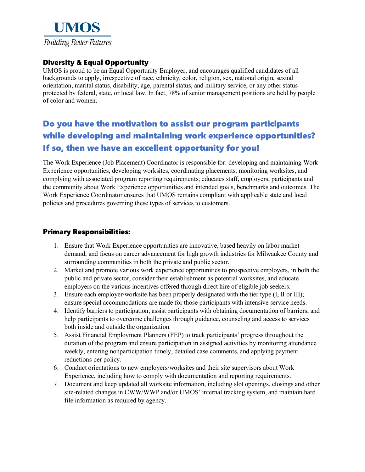

## Diversity & Equal Opportunity

UMOS is proud to be an Equal Opportunity Employer, and encourages qualified candidates of all backgrounds to apply, irrespective of race, ethnicity, color, religion, sex, national origin, sexual orientation, marital status, disability, age, parental status, and military service, or any other status protected by federal, state, or local law. In fact, 78% of senior management positions are held by people of color and women.

# Do you have the motivation to assist our program participants while developing and maintaining work experience opportunities? If so, then we have an excellent opportunity for you!

The Work Experience (Job Placement) Coordinator is responsible for: developing and maintaining Work Experience opportunities, developing worksites, coordinating placements, monitoring worksites, and complying with associated program reporting requirements; educates staff, employers, participants and the community about Work Experience opportunities and intended goals, benchmarks and outcomes. The Work Experience Coordinator ensures that UMOS remains compliant with applicable state and local policies and procedures governing these types of services to customers.

#### Primary Responsibilities:

- 1. Ensure that Work Experience opportunities are innovative, based heavily on labor market demand, and focus on career advancement for high growth industries for Milwaukee County and surrounding communities in both the private and public sector.
- 2. Market and promote various work experience opportunities to prospective employers, in both the public and private sector, consider their establishment as potential worksites, and educate employers on the various incentives offered through direct hire of eligible job seekers.
- 3. Ensure each employer/worksite has been properly designated with the tier type (I, II or III); ensure special accommodations are made for those participants with intensive service needs.
- 4. Identify barriers to participation, assist participants with obtaining documentation of barriers, and help participants to overcome challenges through guidance, counseling and access to services both inside and outside the organization.
- 5. Assist Financial Employment Planners (FEP) to track participants' progress throughout the duration of the program and ensure participation in assigned activities by monitoring attendance weekly, entering nonparticipation timely, detailed case comments, and applying payment reductions per policy.
- 6. Conduct orientations to new employers/worksites and their site supervisors about Work Experience, including how to comply with documentation and reporting requirements.
- 7. Document and keep updated all worksite information, including slot openings, closings and other site-related changes in CWW/WWP and/or UMOS' internal tracking system, and maintain hard file information as required by agency.